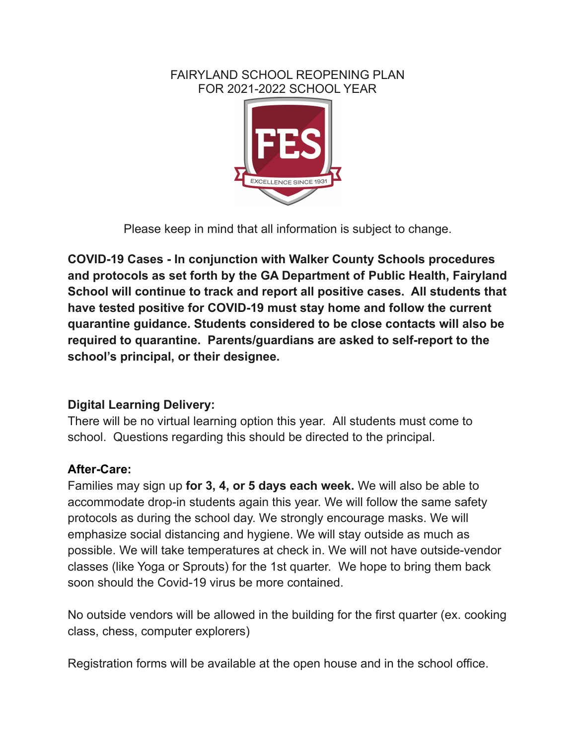### FAIRYLAND SCHOOL REOPENING PLAN FOR 2021-2022 SCHOOL YEAR



Please keep in mind that all information is subject to change.

**COVID-19 Cases - In conjunction with Walker County Schools procedures and protocols as set forth by the GA Department of Public Health, Fairyland School will continue to track and report all positive cases. All students that have tested positive for COVID-19 must stay home and follow the current quarantine guidance. Students considered to be close contacts will also be required to quarantine. Parents/guardians are asked to self-report to the school's principal, or their designee.**

# **Digital Learning Delivery:**

There will be no virtual learning option this year. All students must come to school. Questions regarding this should be directed to the principal.

## **After-Care:**

Families may sign up **for 3, 4, or 5 days each week.** We will also be able to accommodate drop-in students again this year. We will follow the same safety protocols as during the school day. We strongly encourage masks. We will emphasize social distancing and hygiene. We will stay outside as much as possible. We will take temperatures at check in. We will not have outside-vendor classes (like Yoga or Sprouts) for the 1st quarter. We hope to bring them back soon should the Covid-19 virus be more contained.

No outside vendors will be allowed in the building for the first quarter (ex. cooking class, chess, computer explorers)

Registration forms will be available at the open house and in the school office.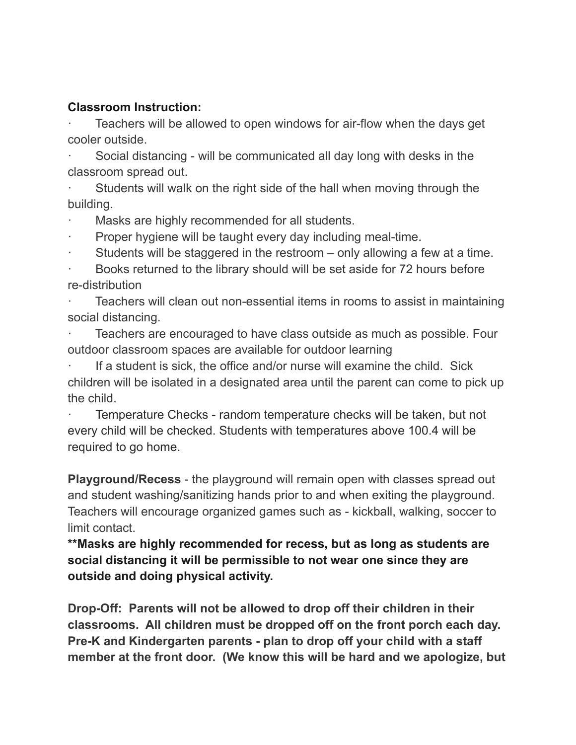#### **Classroom Instruction:**

Teachers will be allowed to open windows for air-flow when the days get cooler outside.

Social distancing - will be communicated all day long with desks in the classroom spread out.

Students will walk on the right side of the hall when moving through the building.

Masks are highly recommended for all students.

Proper hygiene will be taught every day including meal-time.

Students will be staggered in the restroom  $-$  only allowing a few at a time.

Books returned to the library should will be set aside for 72 hours before re-distribution

Teachers will clean out non-essential items in rooms to assist in maintaining social distancing.

Teachers are encouraged to have class outside as much as possible. Four outdoor classroom spaces are available for outdoor learning

If a student is sick, the office and/or nurse will examine the child. Sick children will be isolated in a designated area until the parent can come to pick up the child.

Temperature Checks - random temperature checks will be taken, but not every child will be checked. Students with temperatures above 100.4 will be required to go home.

**Playground/Recess** - the playground will remain open with classes spread out and student washing/sanitizing hands prior to and when exiting the playground. Teachers will encourage organized games such as - kickball, walking, soccer to limit contact.

**\*\*Masks are highly recommended for recess, but as long as students are social distancing it will be permissible to not wear one since they are outside and doing physical activity.**

**Drop-Off: Parents will not be allowed to drop off their children in their classrooms. All children must be dropped off on the front porch each day. Pre-K and Kindergarten parents - plan to drop off your child with a staff member at the front door. (We know this will be hard and we apologize, but**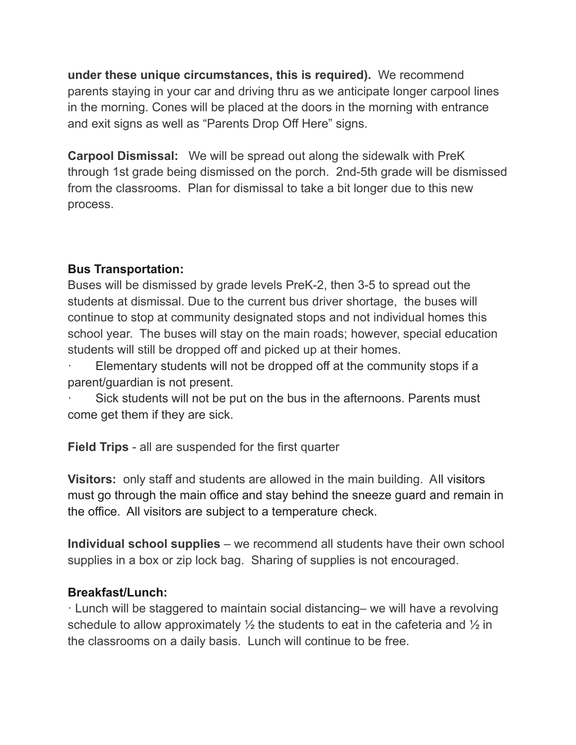**under these unique circumstances, this is required).** We recommend parents staying in your car and driving thru as we anticipate longer carpool lines in the morning. Cones will be placed at the doors in the morning with entrance and exit signs as well as "Parents Drop Off Here" signs.

**Carpool Dismissal:** We will be spread out along the sidewalk with PreK through 1st grade being dismissed on the porch. 2nd-5th grade will be dismissed from the classrooms. Plan for dismissal to take a bit longer due to this new process.

## **Bus Transportation:**

Buses will be dismissed by grade levels PreK-2, then 3-5 to spread out the students at dismissal. Due to the current bus driver shortage, the buses will continue to stop at community designated stops and not individual homes this school year. The buses will stay on the main roads; however, special education students will still be dropped off and picked up at their homes.

Elementary students will not be dropped off at the community stops if a parent/guardian is not present.

Sick students will not be put on the bus in the afternoons. Parents must come get them if they are sick.

**Field Trips** - all are suspended for the first quarter

**Visitors:** only staff and students are allowed in the main building. All visitors must go through the main office and stay behind the sneeze guard and remain in the office. All visitors are subject to a temperature check.

**Individual school supplies** – we recommend all students have their own school supplies in a box or zip lock bag. Sharing of supplies is not encouraged.

## **Breakfast/Lunch:**

· Lunch will be staggered to maintain social distancing– we will have a revolving schedule to allow approximately  $\frac{1}{2}$  the students to eat in the cafeteria and  $\frac{1}{2}$  in the classrooms on a daily basis. Lunch will continue to be free.